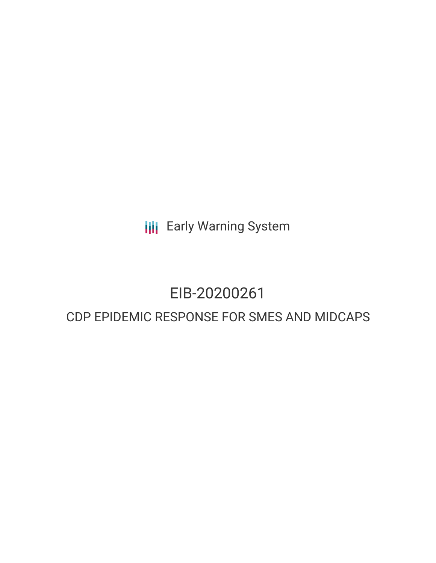**III** Early Warning System

# EIB-20200261

# CDP EPIDEMIC RESPONSE FOR SMES AND MIDCAPS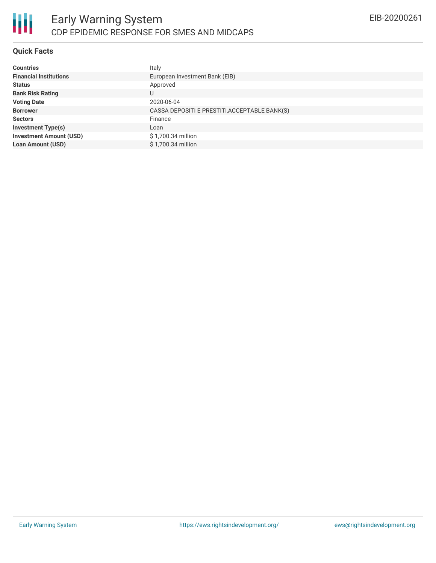

## **Quick Facts**

| <b>Countries</b>               | Italy                                         |
|--------------------------------|-----------------------------------------------|
| <b>Financial Institutions</b>  | European Investment Bank (EIB)                |
| <b>Status</b>                  | Approved                                      |
| <b>Bank Risk Rating</b>        | U                                             |
| <b>Voting Date</b>             | 2020-06-04                                    |
| <b>Borrower</b>                | CASSA DEPOSITI E PRESTITI, ACCEPTABLE BANK(S) |
| <b>Sectors</b>                 | Finance                                       |
| <b>Investment Type(s)</b>      | Loan                                          |
| <b>Investment Amount (USD)</b> | \$1,700.34 million                            |
| <b>Loan Amount (USD)</b>       | \$1,700.34 million                            |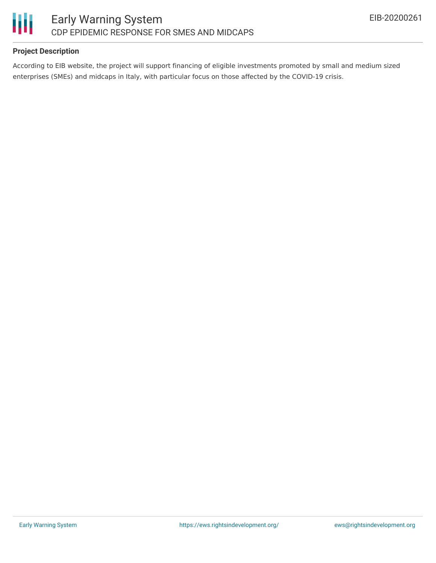

# **Project Description**

According to EIB website, the project will support financing of eligible investments promoted by small and medium sized enterprises (SMEs) and midcaps in Italy, with particular focus on those affected by the COVID-19 crisis.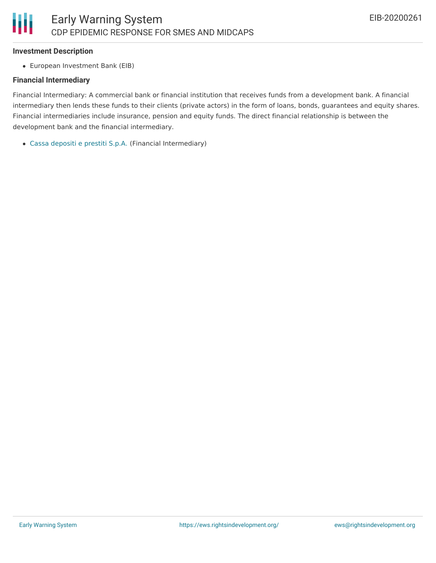#### **Investment Description**

European Investment Bank (EIB)

#### **Financial Intermediary**

Financial Intermediary: A commercial bank or financial institution that receives funds from a development bank. A financial intermediary then lends these funds to their clients (private actors) in the form of loans, bonds, guarantees and equity shares. Financial intermediaries include insurance, pension and equity funds. The direct financial relationship is between the development bank and the financial intermediary.

Cassa [depositi](file:///actor/713/) e prestiti S.p.A. (Financial Intermediary)